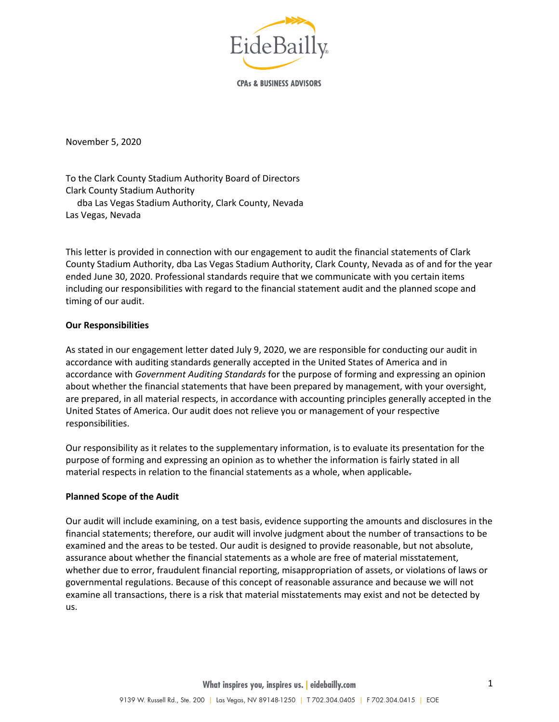

**CPAs & BUSINESS ADVISORS** 

November 5, 2020

To the Clark County Stadium Authority Board of Directors Clark County Stadium Authority dba Las Vegas Stadium Authority, Clark County, Nevada Las Vegas, Nevada

This letter is provided in connection with our engagement to audit the financial statements of Clark County Stadium Authority, dba Las Vegas Stadium Authority, Clark County, Nevada as of and for the year ended June 30, 2020. Professional standards require that we communicate with you certain items including our responsibilities with regard to the financial statement audit and the planned scope and timing of our audit.

## **Our Responsibilities**

As stated in our engagement letter dated July 9, 2020, we are responsible for conducting our audit in accordance with auditing standards generally accepted in the United States of America and in accordance with *Government Auditing Standards* for the purpose of forming and expressing an opinion about whether the financial statements that have been prepared by management, with your oversight, are prepared, in all material respects, in accordance with accounting principles generally accepted in the United States of America. Our audit does not relieve you or management of your respective responsibilities.

Our responsibility as it relates to the supplementary information, is to evaluate its presentation for the purpose of forming and expressing an opinion as to whether the information is fairly stated in all material respects in relation to the financial statements as a whole, when applicable.

## **Planned Scope of the Audit**

Our audit will include examining, on a test basis, evidence supporting the amounts and disclosures in the financial statements; therefore, our audit will involve judgment about the number of transactions to be examined and the areas to be tested. Our audit is designed to provide reasonable, but not absolute, assurance about whether the financial statements as a whole are free of material misstatement, whether due to error, fraudulent financial reporting, misappropriation of assets, or violations of laws or governmental regulations. Because of this concept of reasonable assurance and because we will not examine all transactions, there is a risk that material misstatements may exist and not be detected by us.